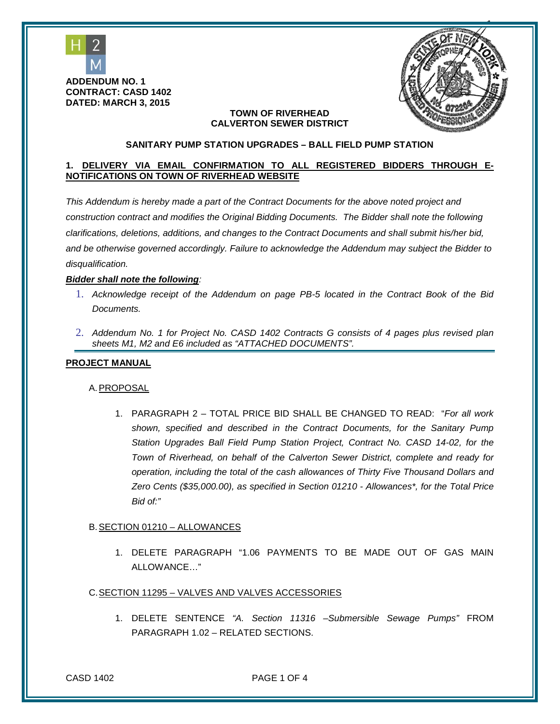



#### **SANITARY PUMP STATION UPGRADES – BALL FIELD PUMP STATION**

### **1. DELIVERY VIA EMAIL CONFIRMATION TO ALL REGISTERED BIDDERS THROUGH E-NOTIFICATIONS ON TOWN OF RIVERHEAD WEBSITE**

*This Addendum is hereby made a part of the Contract Documents for the above noted project and construction contract and modifies the Original Bidding Documents. The Bidder shall note the following clarifications, deletions, additions, and changes to the Contract Documents and shall submit his/her bid, and be otherwise governed accordingly. Failure to acknowledge the Addendum may subject the Bidder to disqualification.*

#### *Bidder shall note the following:*

- 1. *Acknowledge receipt of the Addendum on page PB-5 located in the Contract Book of the Bid Documents.*
- 2. *Addendum No. 1 for Project No. CASD 1402 Contracts G consists of 4 pages plus revised plan sheets M1, M2 and E6 included as "ATTACHED DOCUMENTS".*

#### **PROJECT MANUAL**

#### A.PROPOSAL

1. PARAGRAPH 2 – TOTAL PRICE BID SHALL BE CHANGED TO READ: "*For all work shown, specified and described in the Contract Documents, for the Sanitary Pump Station Upgrades Ball Field Pump Station Project, Contract No. CASD 14-02, for the Town of Riverhead, on behalf of the Calverton Sewer District, complete and ready for operation, including the total of the cash allowances of Thirty Five Thousand Dollars and Zero Cents (\$35,000.00), as specified in Section 01210 - Allowances\*, for the Total Price Bid of:"* 

#### B.SECTION 01210 – ALLOWANCES

1. DELETE PARAGRAPH "1.06 PAYMENTS TO BE MADE OUT OF GAS MAIN ALLOWANCE…"

### C.SECTION 11295 – VALVES AND VALVES ACCESSORIES

1. DELETE SENTENCE *"A. Section 11316 –Submersible Sewage Pumps"* FROM PARAGRAPH 1.02 – RELATED SECTIONS.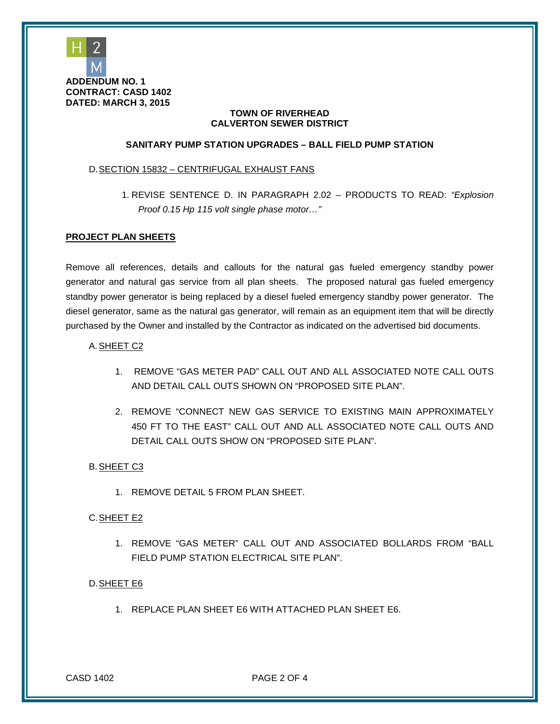

#### **SANITARY PUMP STATION UPGRADES – BALL FIELD PUMP STATION**

#### D.SECTION 15832 – CENTRIFUGAL EXHAUST FANS

1. REVISE SENTENCE D. IN PARAGRAPH 2.02 – PRODUCTS TO READ: *"Explosion Proof 0.15 Hp 115 volt single phase motor…"*

#### **PROJECT PLAN SHEETS**

Remove all references, details and callouts for the natural gas fueled emergency standby power generator and natural gas service from all plan sheets. The proposed natural gas fueled emergency standby power generator is being replaced by a diesel fueled emergency standby power generator. The diesel generator, same as the natural gas generator, will remain as an equipment item that will be directly purchased by the Owner and installed by the Contractor as indicated on the advertised bid documents.

#### A.SHEET C2

- 1. REMOVE "GAS METER PAD" CALL OUT AND ALL ASSOCIATED NOTE CALL OUTS AND DETAIL CALL OUTS SHOWN ON "PROPOSED SITE PLAN".
- 2. REMOVE "CONNECT NEW GAS SERVICE TO EXISTING MAIN APPROXIMATELY 450 FT TO THE EAST" CALL OUT AND ALL ASSOCIATED NOTE CALL OUTS AND DETAIL CALL OUTS SHOW ON "PROPOSED SITE PLAN".

#### B.SHEET C3

1. REMOVE DETAIL 5 FROM PLAN SHEET.

#### C.SHEET E2

1. REMOVE "GAS METER" CALL OUT AND ASSOCIATED BOLLARDS FROM "BALL FIELD PUMP STATION ELECTRICAL SITE PLAN".

#### D.SHEET E6

1. REPLACE PLAN SHEET E6 WITH ATTACHED PLAN SHEET E6.

CASD 1402 PAGE 2 OF 4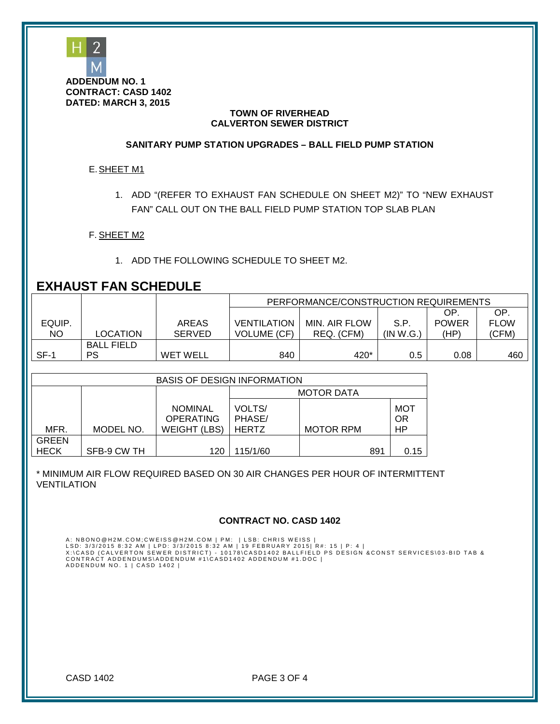

#### **SANITARY PUMP STATION UPGRADES – BALL FIELD PUMP STATION**

#### E.SHEET M1

1. ADD "(REFER TO EXHAUST FAN SCHEDULE ON SHEET M2)" TO "NEW EXHAUST FAN" CALL OUT ON THE BALL FIELD PUMP STATION TOP SLAB PLAN

F. SHEET M2

1. ADD THE FOLLOWING SCHEDULE TO SHEET M2.

## **EXHAUST FAN SCHEDULE**

|        |                   |                 | PERFORMANCE/CONSTRUCTION REQUIREMENTS |               |           |              |             |
|--------|-------------------|-----------------|---------------------------------------|---------------|-----------|--------------|-------------|
|        |                   |                 |                                       |               |           | ΟP           | ОP          |
| EQUIP. |                   | AREAS           | <b>VENTILATION</b>                    | MIN. AIR FLOW | S.P       | <b>POWER</b> | <b>FLOW</b> |
| ΝO     | <b>LOCATION</b>   | <b>SERVED</b>   | <b>VOLUME (CF)</b>                    | REQ. (CFM)    | (IN W.G.) | (HP)         | (CFM)       |
|        | <b>BALL FIELD</b> |                 |                                       |               |           |              |             |
| SF-1   | PS                | <b>WET WELL</b> | 840                                   | 420*          | 0.5       | 0.08         | 460         |

| <b>BASIS OF DESIGN INFORMATION</b> |             |                                                           |                                  |                  |     |                               |
|------------------------------------|-------------|-----------------------------------------------------------|----------------------------------|------------------|-----|-------------------------------|
|                                    |             |                                                           | <b>MOTOR DATA</b>                |                  |     |                               |
| MFR.                               | MODEL NO.   | <b>NOMINAL</b><br><b>OPERATING</b><br><b>WEIGHT (LBS)</b> | VOLTS/<br>PHASE/<br><b>HERTZ</b> | <b>MOTOR RPM</b> |     | <b>MOT</b><br><b>OR</b><br>HP |
| <b>GREEN</b>                       |             |                                                           |                                  |                  |     |                               |
| <b>HECK</b>                        | SFB-9 CW TH | 120                                                       | 115/1/60                         |                  | 891 | 0.15                          |

\* MINIMUM AIR FLOW REQUIRED BASED ON 30 AIR CHANGES PER HOUR OF INTERMITTENT VENTILATION

#### **CONTRACT NO. CASD 1402**

A: NBONO@H2M.COM;CWEISS@H2M.COM | PM: | LSB: CHRIS WEISS |<br>LSD: 3/3/2015 8:32 AM | LPD: 3/3/2015 8:32 AM | 19 FEBRUARY 2015| R#: 15 | P: 4 |<br>X:\CASD (CALVERTON SEWER DISTRICT) – 10178\CASD1402 BALLFIELD PS DESIGN &CONST S

CASD 1402 PAGE 3 OF 4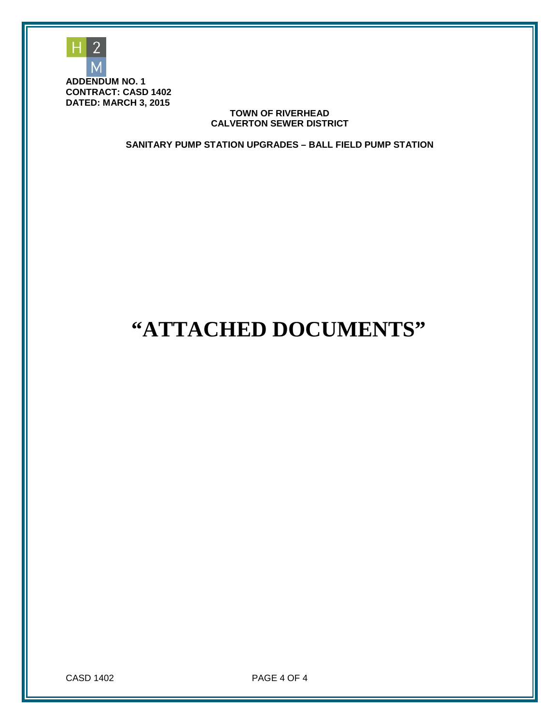

**SANITARY PUMP STATION UPGRADES – BALL FIELD PUMP STATION**

# **"ATTACHED DOCUMENTS"**

CASD 1402 PAGE 4 OF 4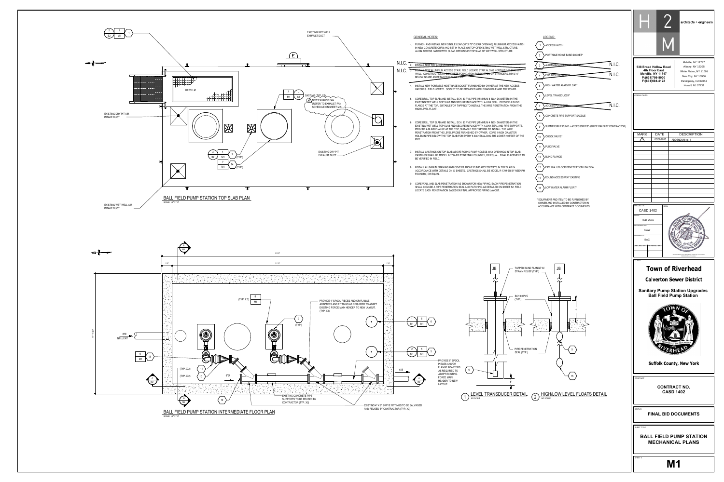

IN NEW CONCRETE CURB AND SET IN PLACE ON TOP OF EXISTING WET WELL

3. INSTALL NEW ALUMINUM ACCESS STAIR. FIELD LOCATE STAIR ALONG NORTH PLIMP STATIC<br>WALL. CONSTRUCT STAIR CONCRETE FOUNDATION FOR BOTTOM OF STRINGERS, MIN 3'-0"

- HATCHES. FIELD LOCATE. SOCKET TO BE PROVIDED WITH DRAIN HOLE AND
- FLANGE AT THE TOP, SUITABLE FOR TAPPING TO INSTALL THE WIRE PENETR.<br>HIGH LEVEL FLOAT.
- CORE DRILL TOP SLAB AND INSTALL SCH. 80 PVC PIPE (MINIMUM 4 INCH DIAMETER) IN THE<br>EXISTING WET WELL TOP SLAB AND SECURE IN PLACE WITH A LINK SEAL AND PIPE SUPPORTS.<br>PROVIDE A BLIND FLANGE AT THE TOP, SUITABLE FOR TAPPING T PROVIDE A BLIND FLANGE AT THE TOP, SUITABLE FOR TAPPING TO INSTALL T<br>PENETRATION FROM THE LEVEL PROBE FURNISHED BY OWNER. CORE 1-INC<br>HOLES IN PIPE BELOW THE TOP SLAB FOR EVERY 6 INCHES ALONG THE LOWI
- 
- ACCORDANCE WITH DETAILS ON 'S' SHEETS. CASTINGS SHALL BE MODEL R-FOUNDRY, OR EQUAL.
- SHALL INCLUDE A PIPE PENETRATION SEAL AND PATCHING AS DETAILED ON LOCATE EACH PENETRATION BASED ON FINAL APPROVED PIPING LAYOUT.

|                                                                   |                                                                                                                        |                                                                                                     | architects + engineers                                                                                         |
|-------------------------------------------------------------------|------------------------------------------------------------------------------------------------------------------------|-----------------------------------------------------------------------------------------------------|----------------------------------------------------------------------------------------------------------------|
| <b>INUM ACCESS HATCH</b><br>LL STRUCTURE.<br>TRUCTURE.            | LEGEND:<br><b>ACCESS HATCH</b><br>PORTABLE HOIST BASE SOCKET*                                                          |                                                                                                     |                                                                                                                |
| TH PLIMP STATION<br>VGERS, MIN 3'-0"                              | N.I.C.<br>ALUMINUM ACCESS STAIRCLSE<br>3<br>N.I.C.<br>FRP ACCESS LAUDE                                                 | 538 Broad Hollow Road<br>4th Floor East<br>Melville, NY 11747<br>P:(631)756-8000<br>F:(631)694-4122 | Melville, NY 11747<br>Albany, NY 12205<br>White Plains, NY 11601<br>New City, NY 10956<br>Parsippany, NJ 07054 |
| HE NEW ACCESS<br><b>D TOP COVER.</b>                              | HIGH WATER ALARM FLOAT*<br>5                                                                                           | CONSULTANTS:                                                                                        | Howell, NJ 07731                                                                                               |
| METER) IN THE<br><b>PROVIDE A BLIND</b><br><b>RATION FROM THE</b> | LEVEL TRANSDUCER*<br>N.I.C.<br><b>ACCESS PLATFORM</b>                                                                  |                                                                                                     |                                                                                                                |
|                                                                   | CONCRETE PIPE SUPPORT SADDLE                                                                                           |                                                                                                     |                                                                                                                |
| METER) IN THE<br>ND PIPE SUPPORTS.<br>THE WIRE                    | SUBMERSIBLE PUMP + ACCESSORIES* (GUIDE RAILS BY CONTRACTOR)<br>9                                                       |                                                                                                     |                                                                                                                |
| <b>ICH DIAMETER</b><br>WER 10 FEET OF THE                         | CHECK VALVE*                                                                                                           | <b>MARK</b><br><b>DATE</b><br>03/02/2015<br>∕ 1`                                                    | <b>DESCRIPTION</b><br>ADDENDUM No. 1                                                                           |
| INGS IN TOP SLAB.                                                 | PLUG VALVE                                                                                                             |                                                                                                     |                                                                                                                |
| FINAL PLACEMENT TO                                                | <b>BLIND FLANGE</b><br>12                                                                                              |                                                                                                     |                                                                                                                |
| TOP SLAB IN<br><b>R-1794-EB BY NEENAH</b>                         | PIPE WALL/FLOOR PENETRATION LINK SEAL<br>13                                                                            |                                                                                                     |                                                                                                                |
| <b>IPE PENETRATION</b><br>N SHEET S2. FIELD                       | ROUND ACCESS WAY CASTING<br>LOW WATER ALARM FLOAT*                                                                     |                                                                                                     |                                                                                                                |
|                                                                   |                                                                                                                        |                                                                                                     |                                                                                                                |
|                                                                   | * EQUIPMENT AND ITEM TO BE FURNISHED BY<br>OWNER AND INSTALLED BY CONTRACTOR IN<br>ACCORDANCE WITH CONTRACT DOCUMENTS. | PROJECT#:<br><b>CASD 1402</b>                                                                       | <b>SEAL</b>                                                                                                    |
|                                                                   |                                                                                                                        | FEB. 2015<br>DESIGNED BY:<br>CAW<br>DRAWN BY:<br><b>BAC</b><br>CHECKED BY: REVIEWED BY:             | "ALTERATION OF THIS DOCUMENT EXCEPT BY A LICENSED<br>PROFESSIONAL IS ILLEGA                                    |
| TAPPED BLIND FLANGE W/<br>STRAIN RELIEF (TYP.)                    | <b>JB</b>                                                                                                              | <b>CLIENT</b>                                                                                       | <b>Town of Riverhead</b>                                                                                       |
|                                                                   |                                                                                                                        |                                                                                                     | <b>Calverton Sewer District</b>                                                                                |
| SCH 80 PVC                                                        |                                                                                                                        |                                                                                                     | <b>Sanitary Pump Station Upgrades</b><br><b>Ball Field Pump Station</b>                                        |
| (TYP.)<br>PIPE PENETRATION<br>SEAL (TYP.)                         | 5                                                                                                                      |                                                                                                     | PAX ET PROSPERITAS PER PROGRESSUM                                                                              |
|                                                                   |                                                                                                                        |                                                                                                     | <b>Suffolk County, New York</b>                                                                                |
| 6'<br>UCER DETAIL                                                 | 15<br><b>HIGH/LOW LEVEL FLOATS DETAIL</b><br>$\sqrt{2}$<br>NO SCALE                                                    | CONTRACT                                                                                            | <b>CONTRACT NO.</b><br><b>CASD 1402</b>                                                                        |
|                                                                   |                                                                                                                        | <b>STATUS</b>                                                                                       | <b>FINAL BID DOCUMENTS</b>                                                                                     |
|                                                                   |                                                                                                                        | SHEET TITLE                                                                                         | <b>BALL FIELD PUMP STATION</b><br><b>MECHANICAL PLANS</b>                                                      |
|                                                                   |                                                                                                                        | SHEET#                                                                                              | <b>M1</b>                                                                                                      |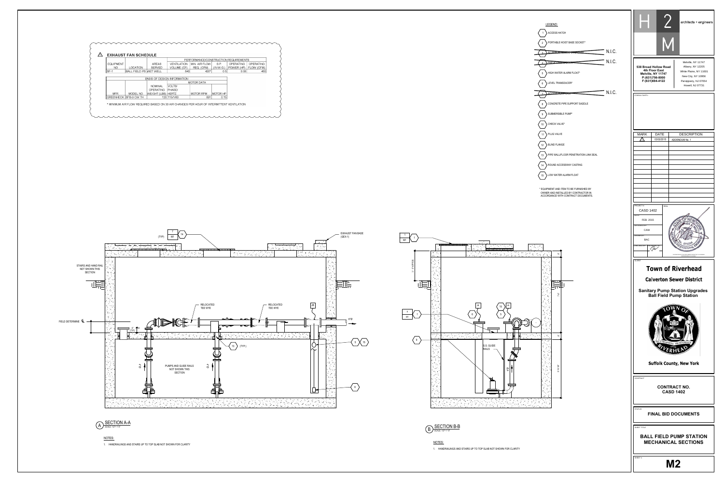





mmmmmmmmmmmmmmmmm

 $4"$ Ø